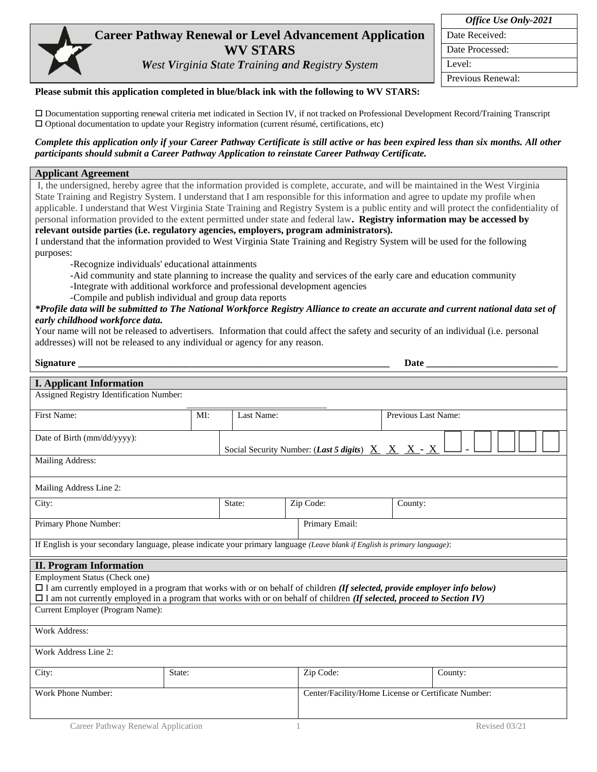## **Career Pathway Renewal or Level Advancement Application WV STARS**

*West Virginia State Training and Registry System*

| <b>Office Use Only-2021</b> |
|-----------------------------|
| Date Received:              |
| Date Processed:             |
| Level:                      |
| Previous Renewal:           |
|                             |

## **Please submit this application completed in blue/black ink with the following to WV STARS:**

 Documentation supporting renewal criteria met indicated in Section IV, if not tracked on Professional Development Record/Training Transcript Optional documentation to update your Registry information (current résumé, certifications, etc)

## *Complete this application only if your Career Pathway Certificate is still active or has been expired less than six months. All other participants should submit a Career Pathway Application to reinstate Career Pathway Certificate.*

## **Applicant Agreement**

I, the undersigned, hereby agree that the information provided is complete, accurate, and will be maintained in the West Virginia State Training and Registry System. I understand that I am responsible for this information and agree to update my profile when applicable. I understand that West Virginia State Training and Registry System is a public entity and will protect the confidentiality of personal information provided to the extent permitted under state and federal law**. Registry information may be accessed by relevant outside parties (i.e. regulatory agencies, employers, program administrators).**

I understand that the information provided to West Virginia State Training and Registry System will be used for the following purposes:

-Recognize individuals' educational attainments

-Aid community and state planning to increase the quality and services of the early care and education community

-Integrate with additional workforce and professional development agencies

-Compile and publish individual and group data reports

*\*Profile data will be submitted to The National Workforce Registry Alliance to create an accurate and current national data set of early childhood workforce data.*

Your name will not be released to advertisers. Information that could affect the safety and security of an individual (i.e. personal addresses) will not be released to any individual or agency for any reason.

| <b>Signature</b>                                                                                                                                                 |     |                                                     |                                                                                                              | Date                |  |  |
|------------------------------------------------------------------------------------------------------------------------------------------------------------------|-----|-----------------------------------------------------|--------------------------------------------------------------------------------------------------------------|---------------------|--|--|
| <b>I. Applicant Information</b>                                                                                                                                  |     |                                                     |                                                                                                              |                     |  |  |
| Assigned Registry Identification Number:                                                                                                                         |     |                                                     |                                                                                                              |                     |  |  |
| First Name:                                                                                                                                                      | MI: | Last Name:                                          |                                                                                                              | Previous Last Name: |  |  |
| Date of Birth (mm/dd/yyyy):                                                                                                                                      |     |                                                     | Social Security Number: ( <i>Last 5 digits</i> ) $\underline{X} \underline{X} \underline{X} - \underline{X}$ |                     |  |  |
| Mailing Address:                                                                                                                                                 |     |                                                     |                                                                                                              |                     |  |  |
| Mailing Address Line 2:                                                                                                                                          |     |                                                     |                                                                                                              |                     |  |  |
| City:                                                                                                                                                            |     | State:                                              | Zip Code:                                                                                                    | County:             |  |  |
| Primary Phone Number:                                                                                                                                            |     |                                                     | Primary Email:                                                                                               |                     |  |  |
| If English is your secondary language, please indicate your primary language (Leave blank if English is primary language):                                       |     |                                                     |                                                                                                              |                     |  |  |
| <b>II. Program Information</b>                                                                                                                                   |     |                                                     |                                                                                                              |                     |  |  |
| Employment Status (Check one)<br>$\Box$ I am currently employed in a program that works with or on behalf of children (If selected, provide employer info below) |     |                                                     |                                                                                                              |                     |  |  |
| $\Box$ I am not currently employed in a program that works with or on behalf of children (If selected, proceed to Section IV)                                    |     |                                                     |                                                                                                              |                     |  |  |
| Current Employer (Program Name):                                                                                                                                 |     |                                                     |                                                                                                              |                     |  |  |
| <b>Work Address:</b>                                                                                                                                             |     |                                                     |                                                                                                              |                     |  |  |
| Work Address Line 2:                                                                                                                                             |     |                                                     |                                                                                                              |                     |  |  |
| City:<br>State:                                                                                                                                                  |     |                                                     | Zip Code:                                                                                                    | County:             |  |  |
| Work Phone Number:                                                                                                                                               |     | Center/Facility/Home License or Certificate Number: |                                                                                                              |                     |  |  |
| Career Pathway Renewal Application                                                                                                                               |     |                                                     | Revised 03/21                                                                                                |                     |  |  |